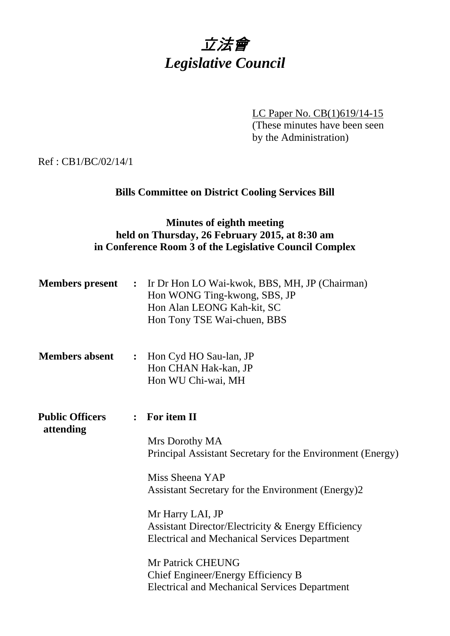

LC Paper No. CB(1)619/14-15 (These minutes have been seen by the Administration)

Ref : CB1/BC/02/14/1

# **Bills Committee on District Cooling Services Bill**

## **Minutes of eighth meeting held on Thursday, 26 February 2015, at 8:30 am in Conference Room 3 of the Legislative Council Complex**

| <b>Members</b> present              |                | : Ir Dr Hon LO Wai-kwok, BBS, MH, JP (Chairman)<br>Hon WONG Ting-kwong, SBS, JP<br>Hon Alan LEONG Kah-kit, SC<br>Hon Tony TSE Wai-chuen, BBS                                            |
|-------------------------------------|----------------|-----------------------------------------------------------------------------------------------------------------------------------------------------------------------------------------|
| <b>Members absent</b>               | $\ddot{\cdot}$ | Hon Cyd HO Sau-lan, JP<br>Hon CHAN Hak-kan, JP<br>Hon WU Chi-wai, MH                                                                                                                    |
| <b>Public Officers</b><br>attending | $\ddot{\cdot}$ | For item II<br>Mrs Dorothy MA<br>Principal Assistant Secretary for the Environment (Energy)<br>Miss Sheena YAP<br>Assistant Secretary for the Environment (Energy)2<br>Mr Harry LAI, JP |
|                                     |                | Assistant Director/Electricity & Energy Efficiency<br><b>Electrical and Mechanical Services Department</b><br>Mr Patrick CHEUNG<br>Chief Engineer/Energy Efficiency B                   |
|                                     |                | <b>Electrical and Mechanical Services Department</b>                                                                                                                                    |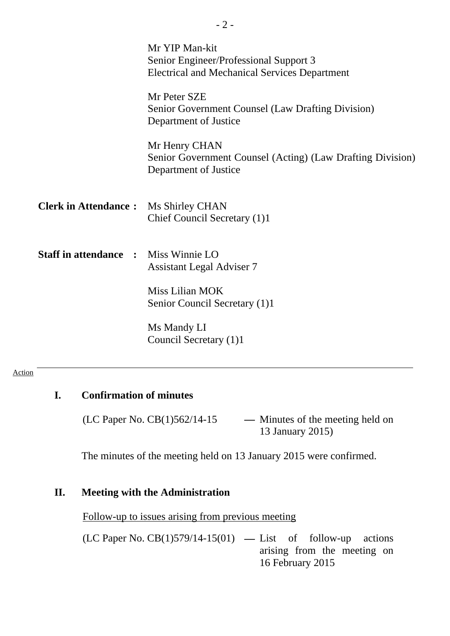|                                             | Mr YIP Man-kit<br>Senior Engineer/Professional Support 3<br><b>Electrical and Mechanical Services Department</b> |
|---------------------------------------------|------------------------------------------------------------------------------------------------------------------|
|                                             | Mr Peter SZE<br>Senior Government Counsel (Law Drafting Division)<br>Department of Justice                       |
|                                             | Mr Henry CHAN<br>Senior Government Counsel (Acting) (Law Drafting Division)<br>Department of Justice             |
| <b>Clerk in Attendance:</b> Ms Shirley CHAN | Chief Council Secretary (1)1                                                                                     |
| <b>Staff in attendance :</b>                | Miss Winnie LO<br><b>Assistant Legal Adviser 7</b>                                                               |
|                                             | Miss Lilian MOK<br>Senior Council Secretary (1)1                                                                 |
|                                             | Ms Mandy LI<br>Council Secretary (1)1                                                                            |

- 2 -

#### Action

# **I. Confirmation of minutes**

(LC Paper No. CB(1)562/14-15 **—** Minutes of the meeting held on 13 January 2015)

The minutes of the meeting held on 13 January 2015 were confirmed.

### **II. Meeting with the Administration**

Follow-up to issues arising from previous meeting

(LC Paper No. CB(1)579/14-15(01) **—** List of follow-up actions arising from the meeting on 16 February 2015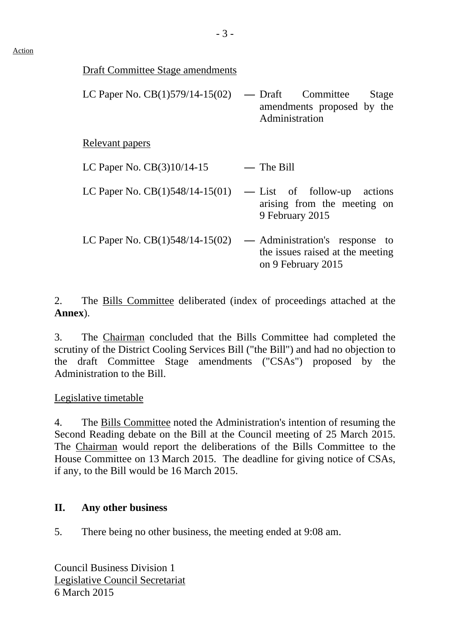| LC Paper No. $CB(1)579/14-15(02)$ — Draft Committee Stage |                |                            |  |
|-----------------------------------------------------------|----------------|----------------------------|--|
|                                                           | Administration | amendments proposed by the |  |

Relevant papers

| LC Paper No. CB(3)10/14-15 |  | — The Bill |
|----------------------------|--|------------|
|                            |  |            |

- LC Paper No. CB(1)548/14-15(01) **—** List of follow-up actions arising from the meeting on 9 February 2015
- LC Paper No. CB(1)548/14-15(02) **—** Administration's response to the issues raised at the meeting on 9 February 2015

2. The Bills Committee deliberated (index of proceedings attached at the **Annex**).

3. The Chairman concluded that the Bills Committee had completed the scrutiny of the District Cooling Services Bill ("the Bill") and had no objection to the draft Committee Stage amendments ("CSAs") proposed by the Administration to the Bill.

Legislative timetable

4. The Bills Committee noted the Administration's intention of resuming the Second Reading debate on the Bill at the Council meeting of 25 March 2015. The Chairman would report the deliberations of the Bills Committee to the House Committee on 13 March 2015. The deadline for giving notice of CSAs, if any, to the Bill would be 16 March 2015.

## **II. Any other business**

5. There being no other business, the meeting ended at 9:08 am.

Council Business Division 1 Legislative Council Secretariat 6 March 2015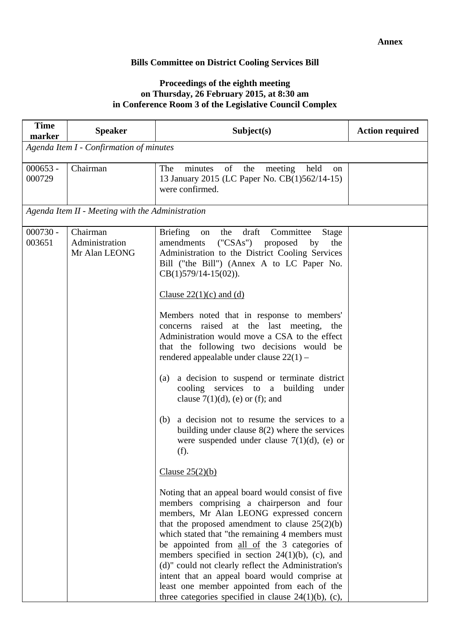#### **Bills Committee on District Cooling Services Bill**

#### **Proceedings of the eighth meeting on Thursday, 26 February 2015, at 8:30 am in Conference Room 3 of the Legislative Council Complex**

| <b>Time</b><br>marker | <b>Speaker</b>                                   | Subject(s)                                                                                                                                                                                                                                                                                                                                                                                                                                                                                                                                                                                                                                                                                                                                                                                                                                                                                                                                                                                                                                                                                         | <b>Action required</b> |  |
|-----------------------|--------------------------------------------------|----------------------------------------------------------------------------------------------------------------------------------------------------------------------------------------------------------------------------------------------------------------------------------------------------------------------------------------------------------------------------------------------------------------------------------------------------------------------------------------------------------------------------------------------------------------------------------------------------------------------------------------------------------------------------------------------------------------------------------------------------------------------------------------------------------------------------------------------------------------------------------------------------------------------------------------------------------------------------------------------------------------------------------------------------------------------------------------------------|------------------------|--|
|                       | Agenda Item I - Confirmation of minutes          |                                                                                                                                                                                                                                                                                                                                                                                                                                                                                                                                                                                                                                                                                                                                                                                                                                                                                                                                                                                                                                                                                                    |                        |  |
| $000653 -$<br>000729  | Chairman                                         | The<br>minutes<br>of<br>the<br>meeting<br>held<br>on<br>13 January 2015 (LC Paper No. CB(1)562/14-15)<br>were confirmed.                                                                                                                                                                                                                                                                                                                                                                                                                                                                                                                                                                                                                                                                                                                                                                                                                                                                                                                                                                           |                        |  |
|                       | Agenda Item II - Meeting with the Administration |                                                                                                                                                                                                                                                                                                                                                                                                                                                                                                                                                                                                                                                                                                                                                                                                                                                                                                                                                                                                                                                                                                    |                        |  |
| $000730 -$<br>003651  | Chairman<br>Administration<br>Mr Alan LEONG      | <b>Briefing</b><br>the<br>draft<br>Committee<br>Stage<br>on<br>("CSAs")<br>amendments<br>proposed<br>the<br>by<br>Administration to the District Cooling Services<br>Bill ("the Bill") (Annex A to LC Paper No.<br>$CB(1)579/14-15(02)).$<br>Clause $22(1)(c)$ and (d)<br>Members noted that in response to members'<br>raised at the last meeting, the<br>concerns<br>Administration would move a CSA to the effect<br>that the following two decisions would be<br>rendered appealable under clause $22(1)$ –<br>a decision to suspend or terminate district<br>(a)<br>cooling services to a building<br>under<br>clause $7(1)(d)$ , (e) or (f); and<br>a decision not to resume the services to a<br>(b)<br>building under clause $8(2)$ where the services<br>were suspended under clause $7(1)(d)$ , (e) or<br>(f).<br>Clause $25(2)(b)$<br>Noting that an appeal board would consist of five<br>members comprising a chairperson and four<br>members, Mr Alan LEONG expressed concern<br>that the proposed amendment to clause $25(2)(b)$<br>which stated that "the remaining 4 members must |                        |  |
|                       |                                                  | be appointed from all of the 3 categories of<br>members specified in section $24(1)(b)$ , (c), and<br>(d)" could not clearly reflect the Administration's<br>intent that an appeal board would comprise at<br>least one member appointed from each of the<br>three categories specified in clause $24(1)(b)$ , (c),                                                                                                                                                                                                                                                                                                                                                                                                                                                                                                                                                                                                                                                                                                                                                                                |                        |  |